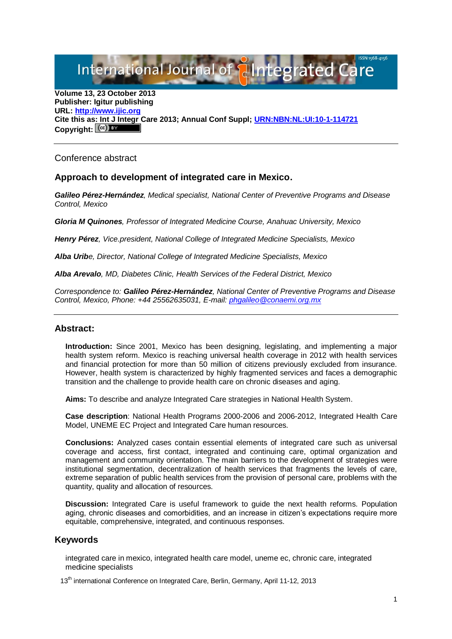International Journal of **Plntegrated** C

**Volume 13, 23 October 2013 Publisher: Igitur publishing URL[: http://www.ijic.org](http://www.ijic.org/) Cite this as: Int J Integr Care 2013; Annual Conf Suppl; [URN:NBN:NL:UI:10-1-114721](http://persistent-identifier.nl/?identifier=URN:NBN:NL:UI:10-1-114721)** Copyright:  $(cc)$  BY

Conference abstract

## **Approach to development of integrated care in Mexico.**

*Galileo Pérez-Hernández, Medical specialist, National Center of Preventive Programs and Disease Control, Mexico*

*Gloria M Quinones, Professor of Integrated Medicine Course, Anahuac University, Mexico*

*Henry Pérez, Vice.president, National College of Integrated Medicine Specialists, Mexico*

*Alba Uribe, Director, National College of Integrated Medicine Specialists, Mexico*

*Alba Arevalo, MD, Diabetes Clinic, Health Services of the Federal District, Mexico*

*Correspondence to: Galileo Pérez-Hernández, National Center of Preventive Programs and Disease Control, Mexico, Phone: +44 25562635031, E-mail: [phgalileo@conaemi.org.mx](mailto:phgalileo@conaemi.org.mx)*

## **Abstract:**

**Introduction:** Since 2001, Mexico has been designing, legislating, and implementing a major health system reform. Mexico is reaching universal health coverage in 2012 with health services and financial protection for more than 50 million of citizens previously excluded from insurance. However, health system is characterized by highly fragmented services and faces a demographic transition and the challenge to provide health care on chronic diseases and aging.

**Aims:** To describe and analyze Integrated Care strategies in National Health System.

**Case description**: National Health Programs 2000-2006 and 2006-2012, Integrated Health Care Model, UNEME EC Project and Integrated Care human resources.

**Conclusions:** Analyzed cases contain essential elements of integrated care such as universal coverage and access, first contact, integrated and continuing care, optimal organization and management and community orientation. The main barriers to the development of strategies were institutional segmentation, decentralization of health services that fragments the levels of care, extreme separation of public health services from the provision of personal care, problems with the quantity, quality and allocation of resources.

**Discussion:** Integrated Care is useful framework to guide the next health reforms. Population aging, chronic diseases and comorbidities, and an increase in citizen's expectations require more equitable, comprehensive, integrated, and continuous responses.

## **Keywords**

integrated care in mexico, integrated health care model, uneme ec, chronic care, integrated medicine specialists

13<sup>th</sup> international Conference on Integrated Care, Berlin, Germany, April 11-12, 2013